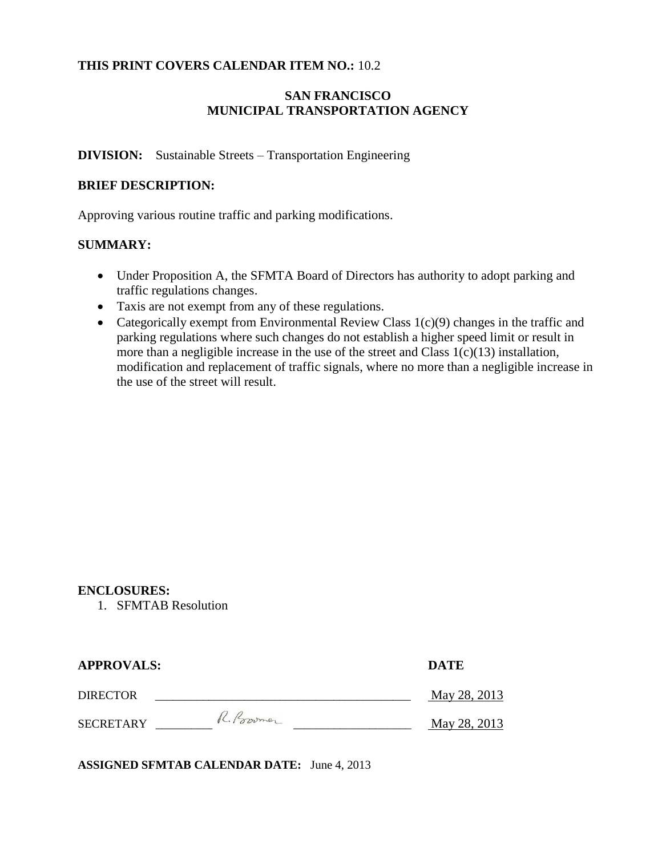### **THIS PRINT COVERS CALENDAR ITEM NO.:** 10.2

## **SAN FRANCISCO MUNICIPAL TRANSPORTATION AGENCY**

#### **DIVISION:** Sustainable Streets – Transportation Engineering

### **BRIEF DESCRIPTION:**

Approving various routine traffic and parking modifications.

#### **SUMMARY:**

- Under Proposition A, the SFMTA Board of Directors has authority to adopt parking and traffic regulations changes.
- Taxis are not exempt from any of these regulations.
- Categorically exempt from Environmental Review Class  $1(c)(9)$  changes in the traffic and parking regulations where such changes do not establish a higher speed limit or result in more than a negligible increase in the use of the street and Class  $1(c)(13)$  installation, modification and replacement of traffic signals, where no more than a negligible increase in the use of the street will result.

#### **ENCLOSURES:**

1. SFMTAB Resolution

| <b>APPROVALS:</b> |             | <b>DATE</b>  |
|-------------------|-------------|--------------|
| <b>DIRECTOR</b>   |             | May 28, 2013 |
| <b>SECRETARY</b>  | R. Province | May 28, 2013 |

**ASSIGNED SFMTAB CALENDAR DATE:** June 4, 2013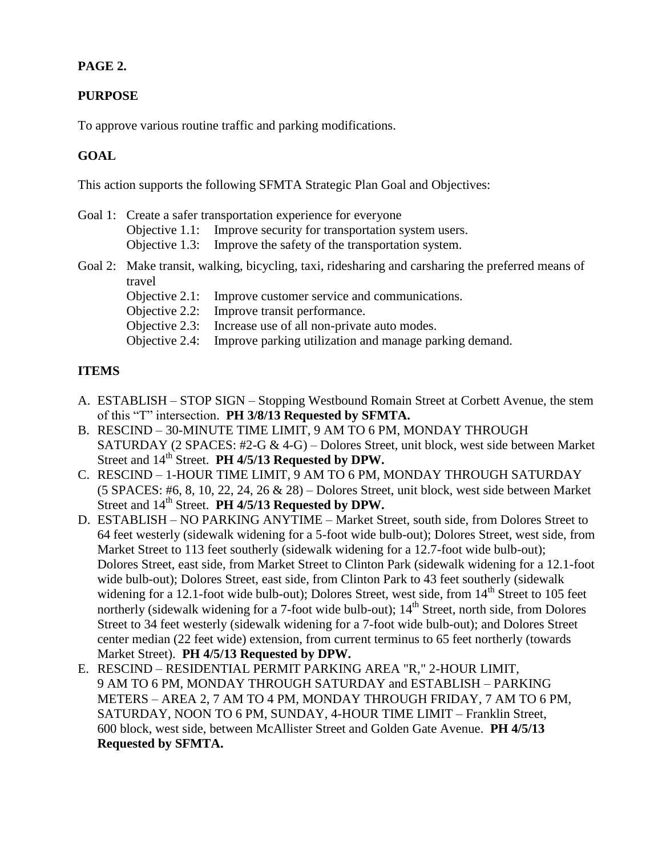## **PAGE 2.**

## **PURPOSE**

To approve various routine traffic and parking modifications.

## **GOAL**

This action supports the following SFMTA Strategic Plan Goal and Objectives:

- Goal 1: Create a safer transportation experience for everyone Objective 1.1: Improve security for transportation system users. Objective 1.3: Improve the safety of the transportation system. Goal 2: Make transit, walking, bicycling, taxi, ridesharing and carsharing the preferred means of travel
	- Objective 2.1: Improve customer service and communications.

Objective 2.2: Improve transit performance.

- Objective 2.3: Increase use of all non-private auto modes.
- Objective 2.4: Improve parking utilization and manage parking demand.

## **ITEMS**

- A. ESTABLISH STOP SIGN Stopping Westbound Romain Street at Corbett Avenue, the stem of this "T" intersection. **PH 3/8/13 Requested by SFMTA.**
- B. RESCIND 30-MINUTE TIME LIMIT, 9 AM TO 6 PM, MONDAY THROUGH SATURDAY (2 SPACES: #2-G & 4-G) – Dolores Street, unit block, west side between Market Street and 14<sup>th</sup> Street. **PH 4/5/13 Requested by DPW.**
- C. RESCIND 1-HOUR TIME LIMIT, 9 AM TO 6 PM, MONDAY THROUGH SATURDAY (5 SPACES: #6, 8, 10, 22, 24, 26 & 28) – Dolores Street, unit block, west side between Market Street and 14<sup>th</sup> Street. **PH 4/5/13 Requested by DPW.**
- D. ESTABLISH NO PARKING ANYTIME Market Street, south side, from Dolores Street to 64 feet westerly (sidewalk widening for a 5-foot wide bulb-out); Dolores Street, west side, from Market Street to 113 feet southerly (sidewalk widening for a 12.7-foot wide bulb-out); Dolores Street, east side, from Market Street to Clinton Park (sidewalk widening for a 12.1-foot wide bulb-out); Dolores Street, east side, from Clinton Park to 43 feet southerly (sidewalk widening for a 12.1-foot wide bulb-out); Dolores Street, west side, from  $14<sup>th</sup>$  Street to 105 feet northerly (sidewalk widening for a 7-foot wide bulb-out);  $14<sup>th</sup>$  Street, north side, from Dolores Street to 34 feet westerly (sidewalk widening for a 7-foot wide bulb-out); and Dolores Street center median (22 feet wide) extension, from current terminus to 65 feet northerly (towards Market Street). **PH 4/5/13 Requested by DPW.**
- E. RESCIND RESIDENTIAL PERMIT PARKING AREA "R," 2-HOUR LIMIT, 9 AM TO 6 PM, MONDAY THROUGH SATURDAY and ESTABLISH – PARKING METERS – AREA 2, 7 AM TO 4 PM, MONDAY THROUGH FRIDAY, 7 AM TO 6 PM, SATURDAY, NOON TO 6 PM, SUNDAY, 4-HOUR TIME LIMIT – Franklin Street, 600 block, west side, between McAllister Street and Golden Gate Avenue. **PH 4/5/13 Requested by SFMTA.**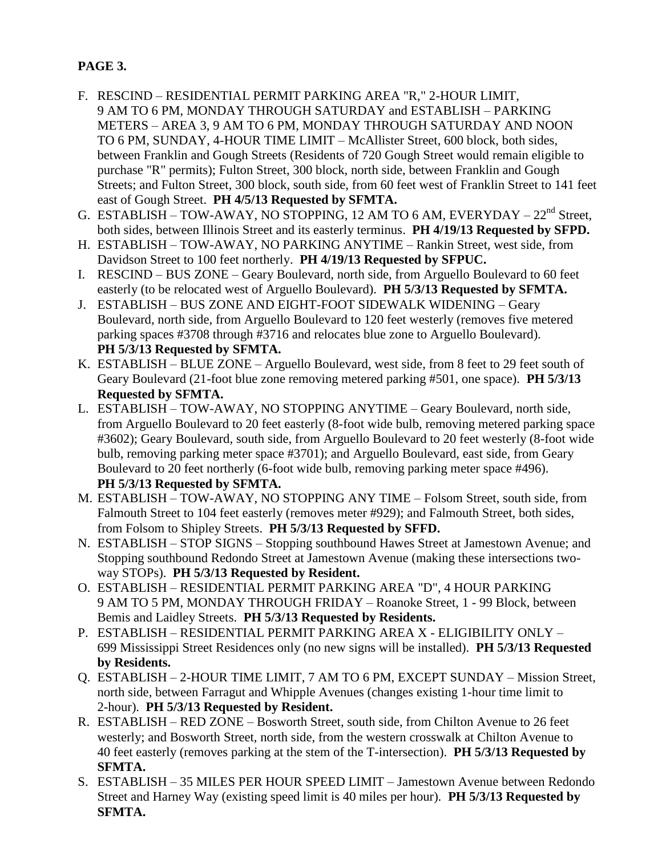# **PAGE 3.**

- F. RESCIND RESIDENTIAL PERMIT PARKING AREA "R," 2-HOUR LIMIT, 9 AM TO 6 PM, MONDAY THROUGH SATURDAY and ESTABLISH – PARKING METERS – AREA 3, 9 AM TO 6 PM, MONDAY THROUGH SATURDAY AND NOON TO 6 PM, SUNDAY, 4-HOUR TIME LIMIT – McAllister Street, 600 block, both sides, between Franklin and Gough Streets (Residents of 720 Gough Street would remain eligible to purchase "R" permits); Fulton Street, 300 block, north side, between Franklin and Gough Streets; and Fulton Street, 300 block, south side, from 60 feet west of Franklin Street to 141 feet east of Gough Street. **PH 4/5/13 Requested by SFMTA.**
- G. ESTABLISH TOW-AWAY, NO STOPPING, 12 AM TO 6 AM, EVERYDAY  $22^{nd}$  Street, both sides, between Illinois Street and its easterly terminus. **PH 4/19/13 Requested by SFPD.**
- H. ESTABLISH TOW-AWAY, NO PARKING ANYTIME Rankin Street, west side, from Davidson Street to 100 feet northerly. **PH 4/19/13 Requested by SFPUC.**
- I. RESCIND BUS ZONE Geary Boulevard, north side, from Arguello Boulevard to 60 feet easterly (to be relocated west of Arguello Boulevard). **PH 5/3/13 Requested by SFMTA.**
- J. ESTABLISH BUS ZONE AND EIGHT-FOOT SIDEWALK WIDENING Geary Boulevard, north side, from Arguello Boulevard to 120 feet westerly (removes five metered parking spaces #3708 through #3716 and relocates blue zone to Arguello Boulevard). **PH 5/3/13 Requested by SFMTA.**
- K. ESTABLISH BLUE ZONE Arguello Boulevard, west side, from 8 feet to 29 feet south of Geary Boulevard (21-foot blue zone removing metered parking #501, one space). **PH 5/3/13 Requested by SFMTA.**
- L. ESTABLISH TOW-AWAY, NO STOPPING ANYTIME Geary Boulevard, north side, from Arguello Boulevard to 20 feet easterly (8-foot wide bulb, removing metered parking space #3602); Geary Boulevard, south side, from Arguello Boulevard to 20 feet westerly (8-foot wide bulb, removing parking meter space #3701); and Arguello Boulevard, east side, from Geary Boulevard to 20 feet northerly (6-foot wide bulb, removing parking meter space #496). **PH 5/3/13 Requested by SFMTA.**
- M. ESTABLISH TOW-AWAY, NO STOPPING ANY TIME Folsom Street, south side, from Falmouth Street to 104 feet easterly (removes meter #929); and Falmouth Street, both sides, from Folsom to Shipley Streets. **PH 5/3/13 Requested by SFFD.**
- N. ESTABLISH STOP SIGNS Stopping southbound Hawes Street at Jamestown Avenue; and Stopping southbound Redondo Street at Jamestown Avenue (making these intersections twoway STOPs). **PH 5/3/13 Requested by Resident.**
- O. ESTABLISH RESIDENTIAL PERMIT PARKING AREA "D", 4 HOUR PARKING 9 AM TO 5 PM, MONDAY THROUGH FRIDAY – Roanoke Street, 1 - 99 Block, between Bemis and Laidley Streets. **PH 5/3/13 Requested by Residents.**
- P. ESTABLISH RESIDENTIAL PERMIT PARKING AREA X ELIGIBILITY ONLY 699 Mississippi Street Residences only (no new signs will be installed). **PH 5/3/13 Requested by Residents.**
- Q. ESTABLISH 2-HOUR TIME LIMIT, 7 AM TO 6 PM, EXCEPT SUNDAY Mission Street, north side, between Farragut and Whipple Avenues (changes existing 1-hour time limit to 2-hour). **PH 5/3/13 Requested by Resident.**
- R. ESTABLISH RED ZONE Bosworth Street, south side, from Chilton Avenue to 26 feet westerly; and Bosworth Street, north side, from the western crosswalk at Chilton Avenue to 40 feet easterly (removes parking at the stem of the T-intersection). **PH 5/3/13 Requested by SFMTA.**
- S. ESTABLISH 35 MILES PER HOUR SPEED LIMIT Jamestown Avenue between Redondo Street and Harney Way (existing speed limit is 40 miles per hour). **PH 5/3/13 Requested by SFMTA.**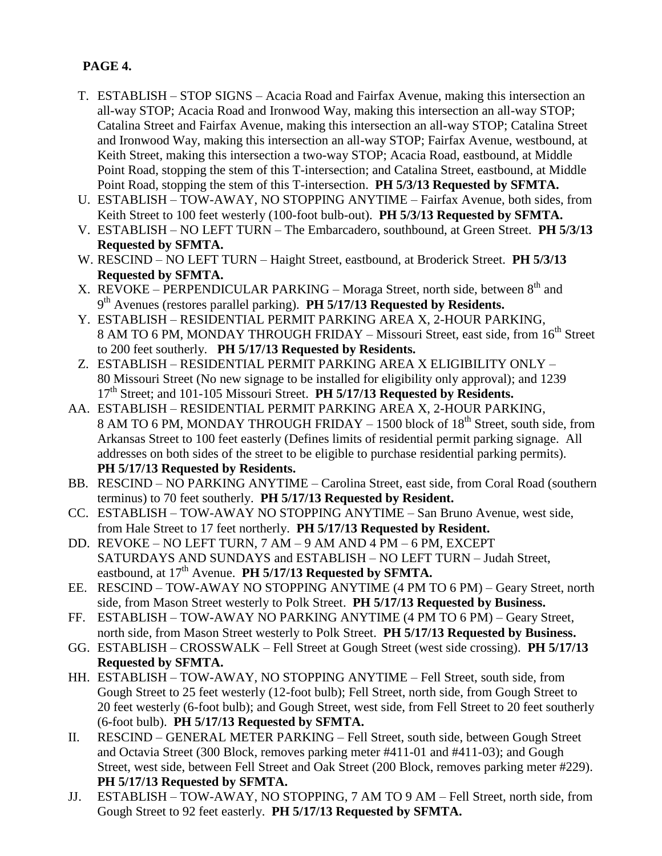# **PAGE 4.**

- T. ESTABLISH STOP SIGNS Acacia Road and Fairfax Avenue, making this intersection an all-way STOP; Acacia Road and Ironwood Way, making this intersection an all-way STOP; Catalina Street and Fairfax Avenue, making this intersection an all-way STOP; Catalina Street and Ironwood Way, making this intersection an all-way STOP; Fairfax Avenue, westbound, at Keith Street, making this intersection a two-way STOP; Acacia Road, eastbound, at Middle Point Road, stopping the stem of this T-intersection; and Catalina Street, eastbound, at Middle Point Road, stopping the stem of this T-intersection. **PH 5/3/13 Requested by SFMTA.**
- U. ESTABLISH TOW-AWAY, NO STOPPING ANYTIME Fairfax Avenue, both sides, from Keith Street to 100 feet westerly (100-foot bulb-out). **PH 5/3/13 Requested by SFMTA.**
- V. ESTABLISH NO LEFT TURN The Embarcadero, southbound, at Green Street. **PH 5/3/13 Requested by SFMTA.**
- W. RESCIND NO LEFT TURN Haight Street, eastbound, at Broderick Street. **PH 5/3/13 Requested by SFMTA.**
- X. REVOKE PERPENDICULAR PARKING Moraga Street, north side, between  $8<sup>th</sup>$  and 9 th Avenues (restores parallel parking). **PH 5/17/13 Requested by Residents.**
- Y. ESTABLISH RESIDENTIAL PERMIT PARKING AREA X, 2-HOUR PARKING, 8 AM TO 6 PM, MONDAY THROUGH FRIDAY – Missouri Street, east side, from 16<sup>th</sup> Street to 200 feet southerly. **PH 5/17/13 Requested by Residents.**
- Z. ESTABLISH RESIDENTIAL PERMIT PARKING AREA X ELIGIBILITY ONLY 80 Missouri Street (No new signage to be installed for eligibility only approval); and 1239 17th Street; and 101-105 Missouri Street. **PH 5/17/13 Requested by Residents.**
- AA. ESTABLISH RESIDENTIAL PERMIT PARKING AREA X, 2-HOUR PARKING, 8 AM TO 6 PM, MONDAY THROUGH FRIDAY  $-1500$  block of  $18<sup>th</sup>$  Street, south side, from Arkansas Street to 100 feet easterly (Defines limits of residential permit parking signage. All addresses on both sides of the street to be eligible to purchase residential parking permits). **PH 5/17/13 Requested by Residents.**
- BB. RESCIND NO PARKING ANYTIME Carolina Street, east side, from Coral Road (southern terminus) to 70 feet southerly. **PH 5/17/13 Requested by Resident.**
- CC. ESTABLISH TOW-AWAY NO STOPPING ANYTIME San Bruno Avenue, west side, from Hale Street to 17 feet northerly. **PH 5/17/13 Requested by Resident.**
- DD. REVOKE NO LEFT TURN, 7 AM 9 AM AND 4 PM 6 PM, EXCEPT SATURDAYS AND SUNDAYS and ESTABLISH – NO LEFT TURN – Judah Street, eastbound, at  $17<sup>th</sup>$  Avenue. **PH 5/17/13 Requested by SFMTA.**
- EE. RESCIND TOW-AWAY NO STOPPING ANYTIME (4 PM TO 6 PM) Geary Street, north side, from Mason Street westerly to Polk Street. **PH 5/17/13 Requested by Business.**
- FF. ESTABLISH TOW-AWAY NO PARKING ANYTIME (4 PM TO 6 PM) Geary Street, north side, from Mason Street westerly to Polk Street. **PH 5/17/13 Requested by Business.**
- GG. ESTABLISH CROSSWALK Fell Street at Gough Street (west side crossing). **PH 5/17/13 Requested by SFMTA.**
- HH. ESTABLISH TOW-AWAY, NO STOPPING ANYTIME Fell Street, south side, from Gough Street to 25 feet westerly (12-foot bulb); Fell Street, north side, from Gough Street to 20 feet westerly (6-foot bulb); and Gough Street, west side, from Fell Street to 20 feet southerly (6-foot bulb). **PH 5/17/13 Requested by SFMTA.**
- II. RESCIND GENERAL METER PARKING Fell Street, south side, between Gough Street and Octavia Street (300 Block, removes parking meter #411-01 and #411-03); and Gough Street, west side, between Fell Street and Oak Street (200 Block, removes parking meter #229). **PH 5/17/13 Requested by SFMTA.**
- JJ. ESTABLISH TOW-AWAY, NO STOPPING, 7 AM TO 9 AM Fell Street, north side, from Gough Street to 92 feet easterly. **PH 5/17/13 Requested by SFMTA.**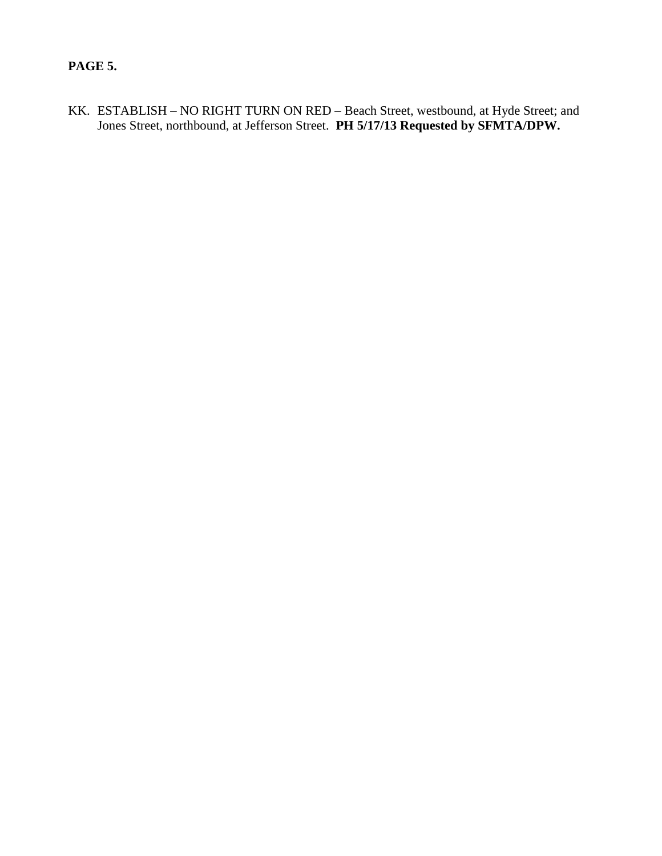## **PAGE 5.**

KK. ESTABLISH – NO RIGHT TURN ON RED – Beach Street, westbound, at Hyde Street; and Jones Street, northbound, at Jefferson Street. **PH 5/17/13 Requested by SFMTA/DPW.**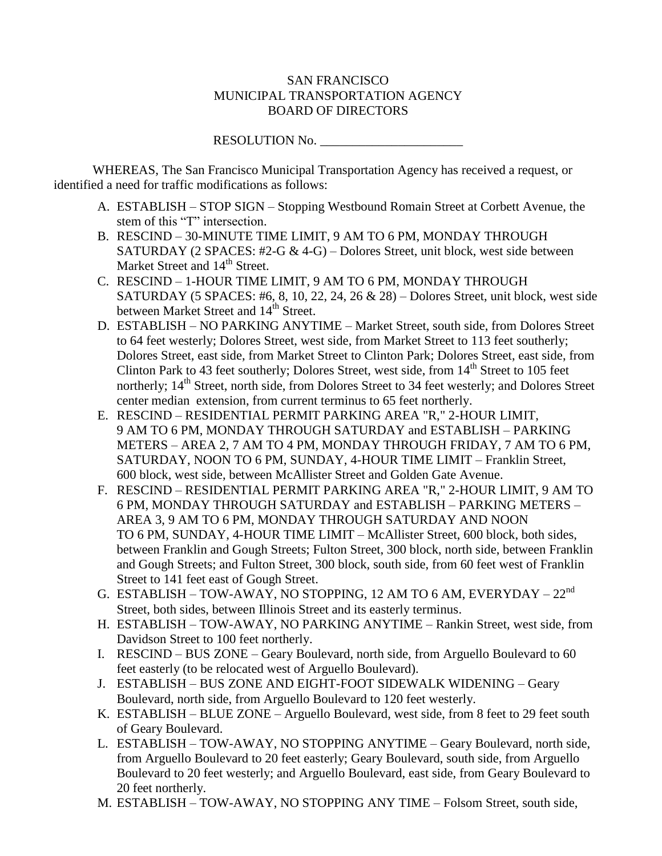### SAN FRANCISCO MUNICIPAL TRANSPORTATION AGENCY BOARD OF DIRECTORS

RESOLUTION No.

WHEREAS, The San Francisco Municipal Transportation Agency has received a request, or identified a need for traffic modifications as follows:

- A. ESTABLISH STOP SIGN Stopping Westbound Romain Street at Corbett Avenue, the stem of this "T" intersection.
- B. RESCIND 30-MINUTE TIME LIMIT, 9 AM TO 6 PM, MONDAY THROUGH SATURDAY (2 SPACES: #2-G  $& 4$ -G) – Dolores Street, unit block, west side between Market Street and 14<sup>th</sup> Street.
- C. RESCIND 1-HOUR TIME LIMIT, 9 AM TO 6 PM, MONDAY THROUGH SATURDAY (5 SPACES: #6, 8, 10, 22, 24, 26 & 28) – Dolores Street, unit block, west side between Market Street and 14<sup>th</sup> Street.
- D. ESTABLISH NO PARKING ANYTIME Market Street, south side, from Dolores Street to 64 feet westerly; Dolores Street, west side, from Market Street to 113 feet southerly; Dolores Street, east side, from Market Street to Clinton Park; Dolores Street, east side, from Clinton Park to 43 feet southerly; Dolores Street, west side, from  $14<sup>th</sup>$  Street to 105 feet northerly; 14<sup>th</sup> Street, north side, from Dolores Street to 34 feet westerly; and Dolores Street center median extension, from current terminus to 65 feet northerly.
- E. RESCIND RESIDENTIAL PERMIT PARKING AREA "R," 2-HOUR LIMIT, 9 AM TO 6 PM, MONDAY THROUGH SATURDAY and ESTABLISH – PARKING METERS – AREA 2, 7 AM TO 4 PM, MONDAY THROUGH FRIDAY, 7 AM TO 6 PM, SATURDAY, NOON TO 6 PM, SUNDAY, 4-HOUR TIME LIMIT – Franklin Street, 600 block, west side, between McAllister Street and Golden Gate Avenue.
- F. RESCIND RESIDENTIAL PERMIT PARKING AREA "R," 2-HOUR LIMIT, 9 AM TO 6 PM, MONDAY THROUGH SATURDAY and ESTABLISH – PARKING METERS – AREA 3, 9 AM TO 6 PM, MONDAY THROUGH SATURDAY AND NOON TO 6 PM, SUNDAY, 4-HOUR TIME LIMIT – McAllister Street, 600 block, both sides, between Franklin and Gough Streets; Fulton Street, 300 block, north side, between Franklin and Gough Streets; and Fulton Street, 300 block, south side, from 60 feet west of Franklin Street to 141 feet east of Gough Street.
- G. ESTABLISH TOW-AWAY, NO STOPPING, 12 AM TO 6 AM, EVERYDAY  $22^{nd}$ Street, both sides, between Illinois Street and its easterly terminus.
- H. ESTABLISH TOW-AWAY, NO PARKING ANYTIME Rankin Street, west side, from Davidson Street to 100 feet northerly.
- I. RESCIND BUS ZONE Geary Boulevard, north side, from Arguello Boulevard to 60 feet easterly (to be relocated west of Arguello Boulevard).
- J. ESTABLISH BUS ZONE AND EIGHT-FOOT SIDEWALK WIDENING Geary Boulevard, north side, from Arguello Boulevard to 120 feet westerly.
- K. ESTABLISH BLUE ZONE Arguello Boulevard, west side, from 8 feet to 29 feet south of Geary Boulevard.
- L. ESTABLISH TOW-AWAY, NO STOPPING ANYTIME Geary Boulevard, north side, from Arguello Boulevard to 20 feet easterly; Geary Boulevard, south side, from Arguello Boulevard to 20 feet westerly; and Arguello Boulevard, east side, from Geary Boulevard to 20 feet northerly.
- M. ESTABLISH TOW-AWAY, NO STOPPING ANY TIME Folsom Street, south side,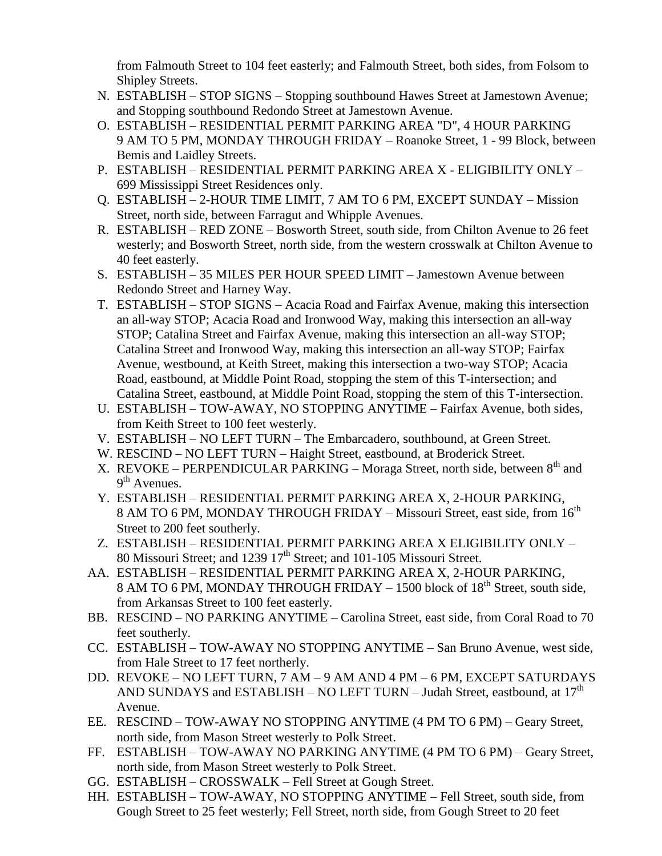from Falmouth Street to 104 feet easterly; and Falmouth Street, both sides, from Folsom to Shipley Streets.

- N. ESTABLISH STOP SIGNS Stopping southbound Hawes Street at Jamestown Avenue; and Stopping southbound Redondo Street at Jamestown Avenue.
- O. ESTABLISH RESIDENTIAL PERMIT PARKING AREA "D", 4 HOUR PARKING 9 AM TO 5 PM, MONDAY THROUGH FRIDAY – Roanoke Street, 1 - 99 Block, between Bemis and Laidley Streets.
- P. ESTABLISH RESIDENTIAL PERMIT PARKING AREA X ELIGIBILITY ONLY 699 Mississippi Street Residences only.
- Q. ESTABLISH 2-HOUR TIME LIMIT, 7 AM TO 6 PM, EXCEPT SUNDAY Mission Street, north side, between Farragut and Whipple Avenues.
- R. ESTABLISH RED ZONE Bosworth Street, south side, from Chilton Avenue to 26 feet westerly; and Bosworth Street, north side, from the western crosswalk at Chilton Avenue to 40 feet easterly.
- S. ESTABLISH 35 MILES PER HOUR SPEED LIMIT Jamestown Avenue between Redondo Street and Harney Way.
- T. ESTABLISH STOP SIGNS Acacia Road and Fairfax Avenue, making this intersection an all-way STOP; Acacia Road and Ironwood Way, making this intersection an all-way STOP; Catalina Street and Fairfax Avenue, making this intersection an all-way STOP; Catalina Street and Ironwood Way, making this intersection an all-way STOP; Fairfax Avenue, westbound, at Keith Street, making this intersection a two-way STOP; Acacia Road, eastbound, at Middle Point Road, stopping the stem of this T-intersection; and Catalina Street, eastbound, at Middle Point Road, stopping the stem of this T-intersection.
- U. ESTABLISH TOW-AWAY, NO STOPPING ANYTIME Fairfax Avenue, both sides, from Keith Street to 100 feet westerly.
- V. ESTABLISH NO LEFT TURN The Embarcadero, southbound, at Green Street.
- W. RESCIND NO LEFT TURN Haight Street, eastbound, at Broderick Street.
- X. REVOKE PERPENDICULAR PARKING Moraga Street, north side, between  $8<sup>th</sup>$  and 9<sup>th</sup> Avenues.
- Y. ESTABLISH RESIDENTIAL PERMIT PARKING AREA X, 2-HOUR PARKING, 8 AM TO 6 PM, MONDAY THROUGH FRIDAY – Missouri Street, east side, from 16<sup>th</sup> Street to 200 feet southerly.
- Z. ESTABLISH RESIDENTIAL PERMIT PARKING AREA X ELIGIBILITY ONLY 80 Missouri Street; and 1239 17<sup>th</sup> Street; and 101-105 Missouri Street.
- AA. ESTABLISH RESIDENTIAL PERMIT PARKING AREA X, 2-HOUR PARKING, 8 AM TO 6 PM, MONDAY THROUGH FRIDAY – 1500 block of 18<sup>th</sup> Street, south side, from Arkansas Street to 100 feet easterly.
- BB. RESCIND NO PARKING ANYTIME Carolina Street, east side, from Coral Road to 70 feet southerly.
- CC. ESTABLISH TOW-AWAY NO STOPPING ANYTIME San Bruno Avenue, west side, from Hale Street to 17 feet northerly.
- DD. REVOKE NO LEFT TURN, 7 AM 9 AM AND 4 PM 6 PM, EXCEPT SATURDAYS AND SUNDAYS and ESTABLISH – NO LEFT TURN – Judah Street, eastbound, at  $17<sup>th</sup>$ Avenue.
- EE. RESCIND TOW-AWAY NO STOPPING ANYTIME (4 PM TO 6 PM) Geary Street, north side, from Mason Street westerly to Polk Street.
- FF. ESTABLISH TOW-AWAY NO PARKING ANYTIME (4 PM TO 6 PM) Geary Street, north side, from Mason Street westerly to Polk Street.
- GG. ESTABLISH CROSSWALK Fell Street at Gough Street.
- HH. ESTABLISH TOW-AWAY, NO STOPPING ANYTIME Fell Street, south side, from Gough Street to 25 feet westerly; Fell Street, north side, from Gough Street to 20 feet